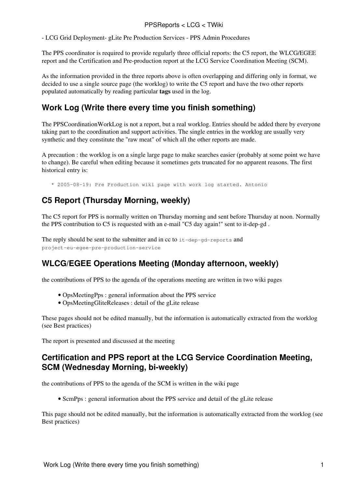#### PPSReports < LCG < TWiki

- [LCG Grid Deployment](https://twiki.cern.ch/twiki/bin/view/LCG/LCGGridDeployment)- [gLite Pre Production Services](https://twiki.cern.ch/twiki/bin/view/LCG/GLitePreProductionServices) - [PPS Admin Procedures](https://twiki.cern.ch/twiki/bin/view/LCG/PPSAdminProcedures)

The PPS coordinator is required to provide regularly three official reports: the C5 report, the WLCG/EGEE report and the Certification and Pre-production report at the LCG Service Coordination Meeting (SCM).

As the information provided in the three reports above is often overlapping and differing only in format, we decided to use a single source page (the worklog) to write the C5 report and have the two other reports populated automatically by reading particular **tags** used in the log.

# **Work Log (Write there every time you finish something)**

The [PPSCoordinationWorkLog](https://twiki.cern.ch/twiki/bin/view/LCG/PPSCoordinationWorkLog) is not a report, but a real worklog. Entries should be added there by everyone taking part to the coordination and support activities. The single entries in the worklog are usually very synthetic and they constitute the "raw meat" of which all the other reports are made.

A precaution : the worklog is on a single large page to make searches easier (probably at some point we have to change). Be careful when editing because it sometimes gets truncated for no apparent reasons. The first historical entry is:

\* 2005-08-19: Pre Production wiki page with work log started. Antonio

# **C5 Report (Thursday Morning, weekly)**

The C5 report for PPS is normally written on Thursday morning and sent before Thursday at noon. Normally the PPS contribution to C5 is requested with an e-mail "C5 day again!" sent to it-dep-gd .

The reply should be sent to the submitter and in cc to it-dep-gd-reports and project-eu-egee-pre-production-service

## **WLCG/EGEE Operations Meeting (Monday afternoon, weekly)**

the contributions of PPS to the agenda of the operations meeting are written in two wiki pages

- [OpsMeetingPps](https://twiki.cern.ch/twiki/bin/view/LCG/OpsMeetingPps) : general information about the PPS service
- [OpsMeetingGliteReleases](https://twiki.cern.ch/twiki/bin/view/LCG/OpsMeetingGliteReleases) : detail of the gLite release

These pages should not be edited manually, but the information is automatically extracted from the worklog (see Best practices)

The report is presented and discussed at the meeting

### **Certification and PPS report at the LCG Service Coordination Meeting, SCM (Wednesday Morning, bi-weekly)**

the contributions of PPS to the agenda of the SCM is written in the wiki page

• [ScmPps](https://twiki.cern.ch/twiki/bin/view/LCG/ScmPps) : general information about the PPS service and detail of the gLite release

This page should not be edited manually, but the information is automatically extracted from the worklog (see Best practices)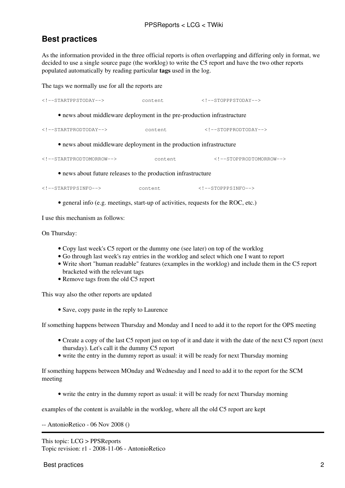# **Best practices**

As the information provided in the three official reports is often overlapping and differing only in format, we decided to use a single source page (the worklog) to write the C5 report and have the two other reports populated automatically by reading particular **tags** used in the log.

The tags we normally use for all the reports are

| $\langle$ !--STARTPPSTODAY-->                                           | content | $\langle !--STOPPPSTODAY--\rangle$ |
|-------------------------------------------------------------------------|---------|------------------------------------|
| • news about middleware deployment in the pre-production infrastructure |         |                                    |
| $\langle$ !--STARTPRODTODAY-->                                          | content | $\langle$ !--STOPPRODTODAY-->      |
| • news about middleware deployment in the production infrastructure     |         |                                    |
| $\langle$ !--STARTPRODTOMORROW-->                                       | content | STOPPRODTOMORROW                   |
| • news about future releases to the production infrastructure           |         |                                    |
| $\langle$ !--STARTPPSINFO-->                                            | content | $\langle$ !--STOPPPSINFO-->        |

• general info (e.g. meetings, start-up of activities, requests for the ROC, etc.)

I use this mechanism as follows:

On Thursday:

- Copy last week's C5 report or the dummy one (see later) on top of the worklog
- Go through last week's ray entries in the worklog and select which one I want to report
- Write short "human readable" features (examples in the worklog) and include them in the C5 report bracketed with the relevant tags
- Remove tags from the old C5 report

This way also the other reports are updated

• Save, copy paste in the reply to Laurence

If something happens between Thursday and Monday and I need to add it to the report for the OPS meeting

- Create a copy of the last C5 report just on top of it and date it with the date of the next C5 report (next thursday). Let's call it the dummy C5 report
- write the entry in the dummy report as usual: it will be ready for next Thursday morning

If something happens between MOnday and Wednesday and I need to add it to the report for the SCM meeting

• write the entry in the dummy report as usual: it will be ready for next Thursday morning

examples of the content is available in the worklog, where all the old C5 report are kept

-- [AntonioRetico](https://twiki.cern.ch/twiki/bin/view/Main/AntonioRetico) - 06 Nov 2008 ()

This topic: LCG > PPSReports Topic revision: r1 - 2008-11-06 - AntonioRetico